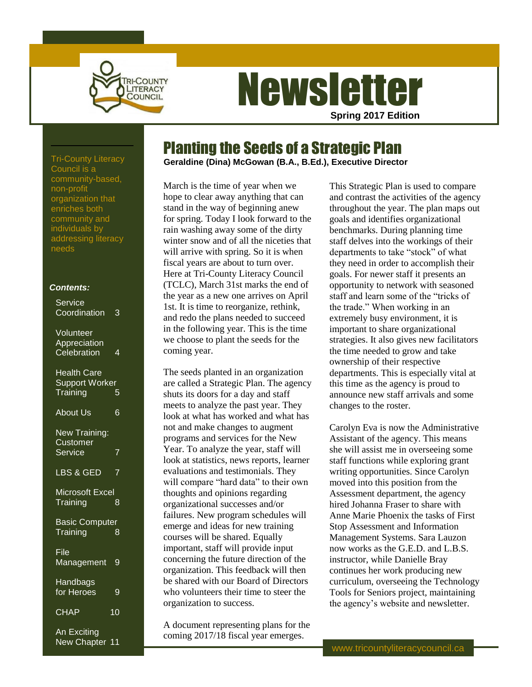

# **Newsletter Spring 2017 Edition**

Planting the Seeds of a Strategic Plan

**Geraldine (Dina) McGowan (B.A., B.Ed.), Executive Director** Tri-County Literacy

March is the time of year when we hope to clear away anything that can stand in the way of beginning anew for spring. Today I look forward to the rain washing away some of the dirty winter snow and of all the niceties that will arrive with spring. So it is when fiscal years are about to turn over. Here at Tri-County Literacy Council (TCLC), March 31st marks the end of the year as a new one arrives on April 1st. It is time to reorganize, rethink, and redo the plans needed to succeed in the following year. This is the time we choose to plant the seeds for the coming year.

The seeds planted in an organization are called a Strategic Plan. The agency shuts its doors for a day and staff meets to analyze the past year. They look at what has worked and what has not and make changes to augment programs and services for the New Year. To analyze the year, staff will look at statistics, news reports, learner evaluations and testimonials. They will compare "hard data" to their own thoughts and opinions regarding organizational successes and/or failures. New program schedules will emerge and ideas for new training courses will be shared. Equally important, staff will provide input concerning the future direction of the organization. This feedback will then be shared with our Board of Directors who volunteers their time to steer the organization to success.

A document representing plans for the coming 2017/18 fiscal year emerges.

This Strategic Plan is used to compare and contrast the activities of the agency throughout the year. The plan maps out goals and identifies organizational benchmarks. During planning time staff delves into the workings of their departments to take "stock" of what they need in order to accomplish their goals. For newer staff it presents an opportunity to network with seasoned staff and learn some of the "tricks of the trade." When working in an extremely busy environment, it is important to share organizational strategies. It also gives new facilitators the time needed to grow and take ownership of their respective departments. This is especially vital at this time as the agency is proud to announce new staff arrivals and some changes to the roster.

Carolyn Eva is now the Administrative Assistant of the agency. This means she will assist me in overseeing some staff functions while exploring grant writing opportunities. Since Carolyn moved into this position from the Assessment department, the agency hired Johanna Fraser to share with Anne Marie Phoenix the tasks of First Stop Assessment and Information Management Systems. Sara Lauzon now works as the G.E.D. and L.B.S. instructor, while Danielle Bray continues her work producing new curriculum, overseeing the Technology Tools for Seniors project, maintaining the agency's website and newsletter.

Council is a community-based, non-profit organization that enriches both community and individuals by addressing literacy needs

### *Contents:*

| Service<br>Coordination                                 | 3              |
|---------------------------------------------------------|----------------|
| Volunteer<br>Appreciation<br>Celebration                | 4              |
| <b>Health Care</b><br><b>Support Worker</b><br>Training | 5              |
| <b>About Us</b>                                         | 6              |
| <b>New Training:</b><br>Customer<br><b>Service</b>      | 7              |
| LBS & GED                                               | 7              |
| Microsoft Excel<br>Training                             | 8              |
| <b>Basic Computer</b><br>Training                       | $\overline{8}$ |
| $\overline{\mathsf{File}}$<br>Management                | 9              |
| Handbags<br>for Heroes                                  | 9              |
| <b>CHAP</b>                                             | 10             |
| An Exciting                                             |                |

New Chapter 11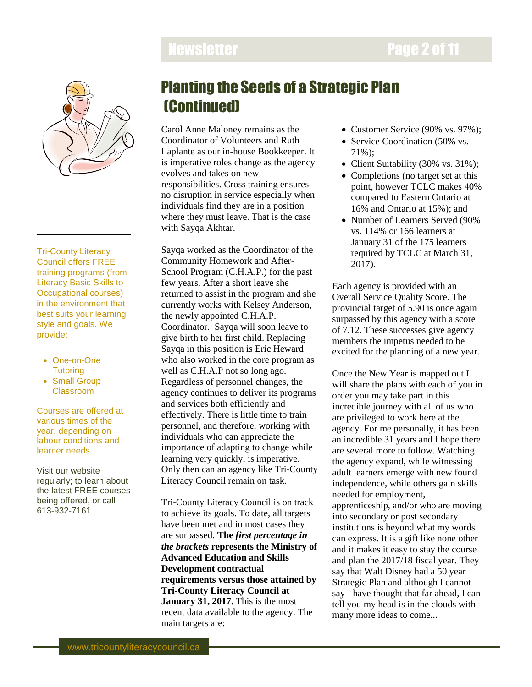# **Newsletter Page 2 of 11**



Tri-County Literacy Council offers FREE training programs (from Literacy Basic Skills to Occupational courses) in the environment that best suits your learning style and goals. We provide:

- One-on-One **Tutoring**
- Small Group Classroom

Courses are offered at various times of the year, depending on labour conditions and learner needs.

Visit our website regularly; to learn about the latest FREE courses being offered, or call 613-932-7161.

# Planting the Seeds of a Strategic Plan (Continued)

Carol Anne Maloney remains as the Coordinator of Volunteers and Ruth Laplante as our in-house Bookkeeper. It is imperative roles change as the agency evolves and takes on new responsibilities. Cross training ensures no disruption in service especially when individuals find they are in a position where they must leave. That is the case with Sayqa Akhtar.

Sayqa worked as the Coordinator of the Community Homework and After-School Program (C.H.A.P.) for the past few years. After a short leave she returned to assist in the program and she currently works with Kelsey Anderson, the newly appointed C.H.A.P. Coordinator. Sayqa will soon leave to give birth to her first child. Replacing Sayqa in this position is Eric Heward who also worked in the core program as well as C.H.A.P not so long ago. Regardless of personnel changes, the agency continues to deliver its programs and services both efficiently and effectively. There is little time to train personnel, and therefore, working with individuals who can appreciate the importance of adapting to change while learning very quickly, is imperative. Only then can an agency like Tri-County Literacy Council remain on task.

Tri-County Literacy Council is on track to achieve its goals. To date, all targets have been met and in most cases they are surpassed. **The** *first percentage in the brackets* **represents the Ministry of Advanced Education and Skills Development contractual requirements versus those attained by Tri-County Literacy Council at January 31, 2017.** This is the most recent data available to the agency. The main targets are:

- Customer Service (90% vs. 97%);
- Service Coordination (50% vs. 71%);
- Client Suitability (30% vs. 31%);
- Completions (no target set at this point, however TCLC makes 40% compared to Eastern Ontario at 16% and Ontario at 15%); and
- Number of Learners Served (90%) vs. 114% or 166 learners at January 31 of the 175 learners required by TCLC at March 31, 2017).

Each agency is provided with an Overall Service Quality Score. The provincial target of 5.90 is once again surpassed by this agency with a score of 7.12. These successes give agency members the impetus needed to be excited for the planning of a new year.

Once the New Year is mapped out I will share the plans with each of you in order you may take part in this incredible journey with all of us who are privileged to work here at the agency. For me personally, it has been an incredible 31 years and I hope there are several more to follow. Watching the agency expand, while witnessing adult learners emerge with new found independence, while others gain skills needed for employment, apprenticeship, and/or who are moving into secondary or post secondary institutions is beyond what my words can express. It is a gift like none other and it makes it easy to stay the course and plan the 2017/18 fiscal year. They say that Walt Disney had a 50 year Strategic Plan and although I cannot say I have thought that far ahead, I can tell you my head is in the clouds with many more ideas to come...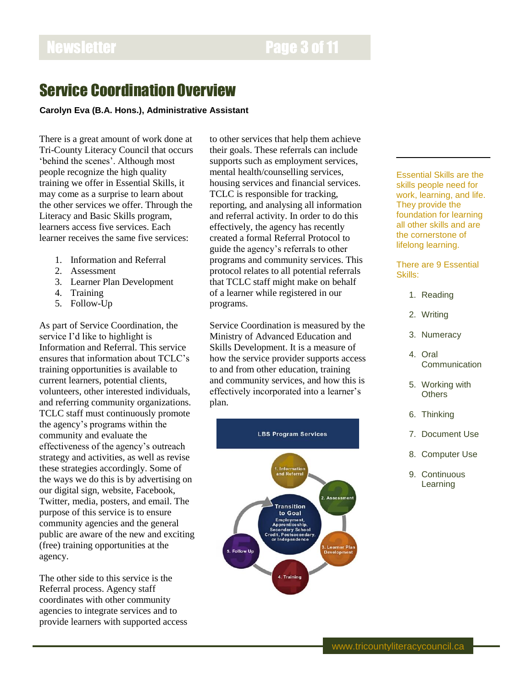## Service Coordination Overview

## **Carolyn Eva (B.A. Hons.), Administrative Assistant**

There is a great amount of work done at Tri-County Literacy Council that occurs 'behind the scenes'. Although most people recognize the high quality training we offer in Essential Skills, it may come as a surprise to learn about the other services we offer. Through the Literacy and Basic Skills program, learners access five services. Each learner receives the same five services:

- 1. Information and Referral
- 2. Assessment
- 3. Learner Plan Development
- 4. Training
- 5. Follow-Up

As part of Service Coordination, the service I'd like to highlight is Information and Referral. This service ensures that information about TCLC's training opportunities is available to current learners, potential clients, volunteers, other interested individuals, and referring community organizations. TCLC staff must continuously promote the agency's programs within the community and evaluate the effectiveness of the agency's outreach strategy and activities, as well as revise these strategies accordingly. Some of the ways we do this is by advertising on our digital sign, website, Facebook, Twitter, media, posters, and email. The purpose of this service is to ensure community agencies and the general public are aware of the new and exciting (free) training opportunities at the agency.

The other side to this service is the Referral process. Agency staff coordinates with other community agencies to integrate services and to provide learners with supported access to other services that help them achieve their goals. These referrals can include supports such as employment services, mental health/counselling services, housing services and financial services. TCLC is responsible for tracking, reporting, and analysing all information and referral activity. In order to do this effectively, the agency has recently created a formal Referral Protocol to guide the agency's referrals to other programs and community services. This protocol relates to all potential referrals that TCLC staff might make on behalf of a learner while registered in our programs.

Service Coordination is measured by the Ministry of Advanced Education and Skills Development. It is a measure of how the service provider supports access to and from other education, training and community services, and how this is effectively incorporated into a learner's plan.



Essential Skills are the skills people need for work, learning, and life. They provide the foundation for learning all other skills and are the cornerstone of lifelong learning.

There are 9 Essential Skills:

- 1. Reading
- 2. Writing
- 3. Numeracy
- 4. Oral **Communication**
- 5. Working with **Others**
- 6. Thinking
- 7. Document Use
- 8. Computer Use
- 9. Continuous Learning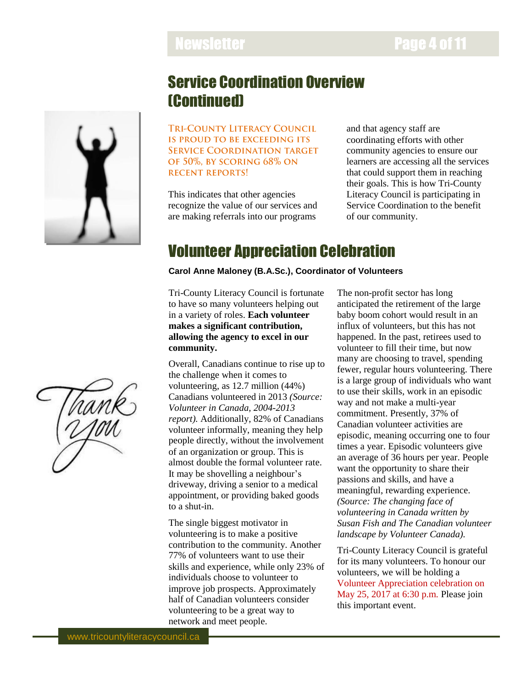# Newsletter **Page 4 of 11**

# Service Coordination Overview (Continued)

**TRI-COUNTY LITERACY COUNCIL** IS PROUD TO BE EXCEEDING ITS **SERVICE COORDINATION TARGET** OF 50%, BY SCORING 68% ON **RECENT REPORTS!** 

This indicates that other agencies recognize the value of our services and are making referrals into our programs

and that agency staff are coordinating efforts with other community agencies to ensure our learners are accessing all the services that could support them in reaching their goals. This is how Tri-County Literacy Council is participating in Service Coordination to the benefit of our community.

## Volunteer Appreciation Celebration

## **Carol Anne Maloney (B.A.Sc.), Coordinator of Volunteers**

Tri-County Literacy Council is fortunate to have so many volunteers helping out in a variety of roles. **Each volunteer makes a significant contribution, allowing the agency to excel in our community.** 

Overall, Canadians continue to rise up to the challenge when it comes to volunteering, as 12.7 million (44%) Canadians volunteered in 2013 *(Source: Volunteer in Canada, 2004-2013 report).* Additionally, 82% of Canadians volunteer informally, meaning they help people directly, without the involvement of an organization or group. This is almost double the formal volunteer rate. It may be shovelling a neighbour's driveway, driving a senior to a medical appointment, or providing baked goods to a shut-in.

The single biggest motivator in volunteering is to make a positive contribution to the community. Another 77% of volunteers want to use their skills and experience, while only 23% of individuals choose to volunteer to improve job prospects. Approximately half of Canadian volunteers consider volunteering to be a great way to network and meet people.

The non-profit sector has long anticipated the retirement of the large baby boom cohort would result in an influx of volunteers, but this has not happened. In the past, retirees used to volunteer to fill their time, but now many are choosing to travel, spending fewer, regular hours volunteering. There is a large group of individuals who want to use their skills, work in an episodic way and not make a multi-year commitment. Presently, 37% of Canadian volunteer activities are episodic, meaning occurring one to four times a year. Episodic volunteers give an average of 36 hours per year. People want the opportunity to share their passions and skills, and have a meaningful, rewarding experience. *(Source: The changing face of volunteering in Canada written by Susan Fish and The Canadian volunteer landscape by Volunteer Canada).*

Tri-County Literacy Council is grateful for its many volunteers. To honour our volunteers, we will be holding a Volunteer Appreciation celebration on May 25, 2017 at 6:30 p.m. Please join this important event.

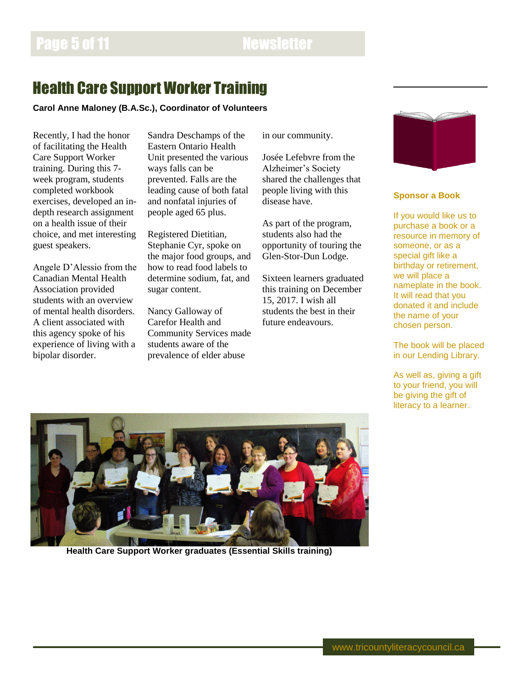# Health Care Support Worker Training

**Carol Anne Maloney (B.A.Sc.), Coordinator of Volunteers**

Recently, I had the honor of facilitating the Health Care Support Worker training. During this 7 week program, students completed workbook exercises, developed an indepth research assignment on a health issue of their choice, and met interesting guest speakers.

Angele D'Alessio from the Canadian Mental Health Association provided students with an overview of mental health disorders. A client associated with this agency spoke of his experience of living with a bipolar disorder.

Sandra Deschamps of the Eastern Ontario Health Unit presented the various ways falls can be prevented. Falls are the leading cause of both fatal and nonfatal injuries of people aged 65 plus.

Registered Dietitian, Stephanie Cyr, spoke on the major food groups, and how to read food labels to determine sodium, fat, and sugar content.

Nancy Galloway of Carefor Health and Community Services made students aware of the prevalence of elder abuse

in our community.

Josée Lefebvre from the Alzheimer's Society shared the challenges that people living with this disease have.

As part of the program, students also had the opportunity of touring the Glen-Stor-Dun Lodge.

Sixteen learners graduated this training on December 15, 2017. I wish all students the best in their future endeavours.



## **Sponsor a Book**

If you would like us to purchase a book or a resource in memory of someone, or as a special gift like a birthday or retirement, we will place a nameplate in the book. It will read that you donated it and include the name of your chosen person.

The book will be placed in our Lending Library.

As well as, giving a gift to your friend, you will be giving the gift of literacy to a learner.



**Health Care Support Worker graduates (Essential Skills training)**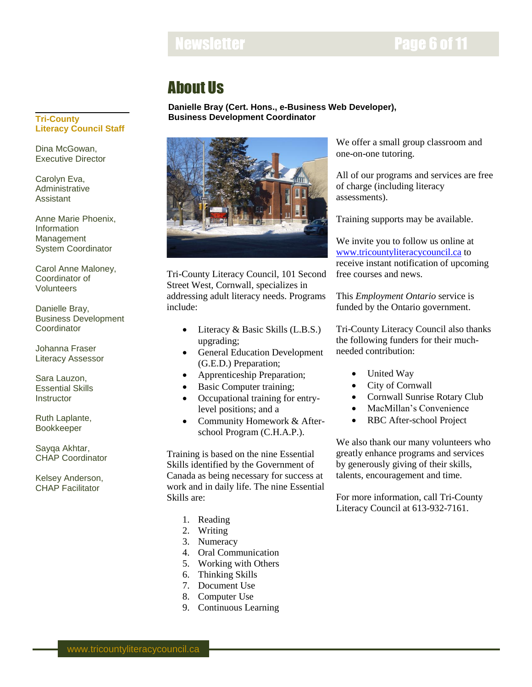## Newsletter **Newsletter Page 6 of 11**

# About Us

**Danielle Bray (Cert. Hons., e-Business Web Developer), Business Development Coordinator**



Tri-County Literacy Council, 101 Second Street West, Cornwall, specializes in addressing adult literacy needs. Programs include:

- Literacy & Basic Skills (L.B.S.) upgrading;
- General Education Development (G.E.D.) Preparation;
- Apprenticeship Preparation;
- Basic Computer training;
- Occupational training for entrylevel positions; and a
- Community Homework & Afterschool Program (C.H.A.P.).

Training is based on the nine Essential Skills identified by the Government of Canada as being necessary for success at work and in daily life. The nine Essential Skills are:

- 1. Reading
- 2. Writing
- 3. Numeracy
- 4. Oral Communication
- 5. Working with Others
- 6. Thinking Skills
- 7. Document Use
- 8. Computer Use
- 9. Continuous Learning

We offer a small group classroom and one-on-one tutoring.

All of our programs and services are free of charge (including literacy assessments).

Training supports may be available.

We invite you to follow us online at [www.tricountyliteracycouncil.ca](http://www.tricountyliteracycouncil.ca/) to receive instant notification of upcoming free courses and news.

This *Employment Ontario* service is funded by the Ontario government.

Tri-County Literacy Council also thanks the following funders for their muchneeded contribution:

- United Way
- City of Cornwall
- Cornwall Sunrise Rotary Club
- MacMillan's Convenience
- RBC After-school Project

We also thank our many volunteers who greatly enhance programs and services by generously giving of their skills, talents, encouragement and time.

For more information, call Tri-County Literacy Council at 613-932-7161.

## **Tri-County Literacy Council Staff**

Dina McGowan, Executive Director

Carolyn Eva, Administrative Assistant

Anne Marie Phoenix, **Information** Management System Coordinator

Carol Anne Maloney, Coordinator of Volunteers

Danielle Bray, Business Development **Coordinator** 

Johanna Fraser Literacy Assessor

Sara Lauzon, Essential Skills **Instructor** 

Ruth Laplante, Bookkeeper

Sayqa Akhtar, CHAP Coordinator

Kelsey Anderson, CHAP Facilitator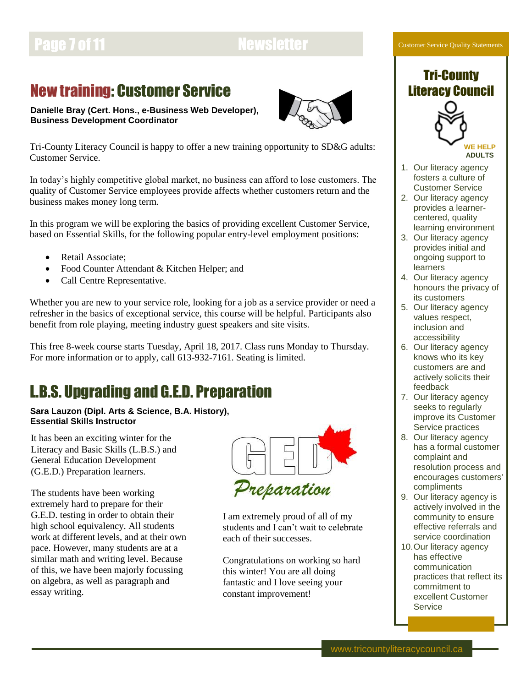# Page 7 of 11 Newsletter

## New training: Customer Service

**Danielle Bray (Cert. Hons., e-Business Web Developer),**



**Business Development Coordinator**

Tri-County Literacy Council is happy to offer a new training opportunity to SD&G adults: Customer Service.

In today's highly competitive global market, no business can afford to lose customers. The quality of Customer Service employees provide affects whether customers return and the business makes money long term.

In this program we will be exploring the basics of providing excellent Customer Service, based on Essential Skills, for the following popular entry-level employment positions:

- Retail Associate;
- Food Counter Attendant & Kitchen Helper; and
- Call Centre Representative.

Whether you are new to your service role, looking for a job as a service provider or need a refresher in the basics of exceptional service, this course will be helpful. Participants also benefit from role playing, meeting industry guest speakers and site visits.

This free 8-week course starts Tuesday, April 18, 2017. Class runs Monday to Thursday. For more information or to apply, call 613-932-7161. Seating is limited.

# L.B.S. Upgrading and G.E.D. Preparation

**Sara Lauzon (Dipl. Arts & Science, B.A. History), Essential Skills Instructor**

It has been an exciting winter for the Literacy and Basic Skills (L.B.S.) and General Education Development (G.E.D.) Preparation learners.

The students have been working extremely hard to prepare for their G.E.D. testing in order to obtain their high school equivalency. All students work at different levels, and at their own pace. However, many students are at a similar math and writing level. Because of this, we have been majorly focussing on algebra, as well as paragraph and essay writing.



I am extremely proud of all of my students and I can't wait to celebrate each of their successes.

Congratulations on working so hard this winter! You are all doing fantastic and I love seeing your constant improvement!

### Customer Service Quality Statements

## Tri-County Literacy Council



**WE HELP ADULTS**

- 1. Our literacy agency fosters a culture of Customer Service
- 2. Our literacy agency provides a learnercentered, quality learning environment
- 3. Our literacy agency provides initial and ongoing support to learners
- 4. Our literacy agency honours the privacy of its customers
- 5. Our literacy agency values respect, inclusion and accessibility
- 6. Our literacy agency knows who its key customers are and actively solicits their feedback
- 7. Our literacy agency seeks to regularly improve its Customer Service practices
- 8. Our literacy agency has a formal customer complaint and resolution process and encourages customers' compliments
- 9. Our literacy agency is actively involved in the community to ensure effective referrals and service coordination
- 10.Our literacy agency has effective communication practices that reflect its commitment to excellent Customer **Service**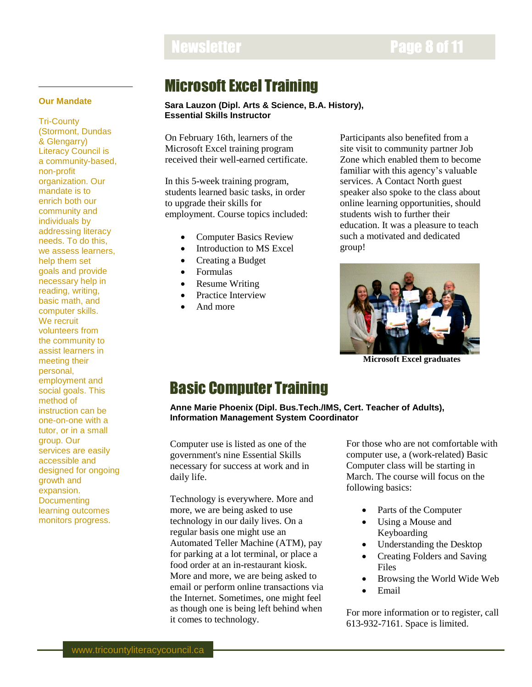# Newsletter **Page 8 of 11**

## **Our Mandate**

Tri-County (Stormont, Dundas & Glengarry) Literacy Council is a community-based, non-profit organization. Our mandate is to enrich both our community and individuals by addressing literacy needs. To do this, we assess learners, help them set goals and provide necessary help in reading, writing, basic math, and computer skills. We recruit volunteers from the community to assist learners in meeting their personal, employment and social goals. This method of instruction can be one-on-one with a tutor, or in a small group. Our services are easily accessible and designed for ongoing growth and expansion. **Documenting** learning outcomes monitors progress.

## Microsoft Excel Training

### **Sara Lauzon (Dipl. Arts & Science, B.A. History), Essential Skills Instructor**

On February 16th, learners of the Microsoft Excel training program received their well-earned certificate.

In this 5-week training program, students learned basic tasks, in order to upgrade their skills for employment. Course topics included:

- Computer Basics Review
- Introduction to MS Excel
- Creating a Budget
- Formulas
- Resume Writing
- Practice Interview
- And more

Participants also benefited from a site visit to community partner Job Zone which enabled them to become familiar with this agency's valuable services. A Contact North guest speaker also spoke to the class about online learning opportunities, should students wish to further their education. It was a pleasure to teach such a motivated and dedicated group!



**Microsoft Excel graduates**

## Basic Computer Training

**Anne Marie Phoenix (Dipl. Bus.Tech./IMS, Cert. Teacher of Adults), Information Management System Coordinator**

Computer use is listed as one of the government's nine Essential Skills necessary for success at work and in daily life.

Technology is everywhere. More and more, we are being asked to use technology in our daily lives. On a regular basis one might use an Automated Teller Machine (ATM), pay for parking at a lot terminal, or place a food order at an in-restaurant kiosk. More and more, we are being asked to email or perform online transactions via the Internet. Sometimes, one might feel as though one is being left behind when it comes to technology.

For those who are not comfortable with computer use, a (work-related) Basic Computer class will be starting in March. The course will focus on the following basics:

- Parts of the Computer
- Using a Mouse and Keyboarding
- Understanding the Desktop
- Creating Folders and Saving Files
- Browsing the World Wide Web
- Email

For more information or to register, call 613-932-7161. Space is limited.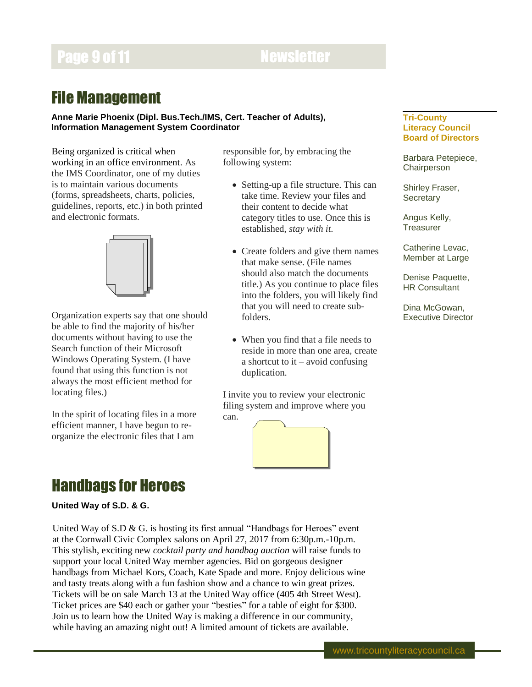# **Page 9 of 11 Newsletter**

## File Management

## **Anne Marie Phoenix (Dipl. Bus.Tech./IMS, Cert. Teacher of Adults), Information Management System Coordinator**

Being organized is critical when working in an office environment. As the IMS Coordinator, one of my duties is to maintain various documents (forms, spreadsheets, charts, policies, guidelines, reports, etc.) in both printed and electronic formats.



Organization experts say that one should be able to find the majority of his/her documents without having to use the Search function of their Microsoft Windows Operating System. (I have found that using this function is not always the most efficient method for locating files.)

In the spirit of locating files in a more efficient manner, I have begun to reorganize the electronic files that I am

responsible for, by embracing the following system:

- Setting-up a file structure. This can take time. Review your files and their content to decide what category titles to use. Once this is established, *stay with it*.
- Create folders and give them names that make sense. (File names should also match the documents title.) As you continue to place files into the folders, you will likely find that you will need to create subfolders.
- When you find that a file needs to reside in more than one area, create a shortcut to  $it - avoid confusing$ duplication.

I invite you to review your electronic filing system and improve where you can.



## **Tri-County Literacy Council Board of Directors**

Barbara Petepiece, **Chairperson** 

Shirley Fraser, **Secretary** 

Angus Kelly, **Treasurer** 

Catherine Levac, Member at Large

Denise Paquette, HR Consultant

Dina McGowan, Executive Director

## Handbags for Heroes

## **United Way of S.D. & G.**

United Way of S.D & G. is hosting its first annual "Handbags for Heroes" event at the Cornwall Civic Complex salons on April 27, 2017 from 6:30p.m.-10p.m. This stylish, exciting new *cocktail party and handbag auction* will raise funds to support your local United Way member agencies. Bid on gorgeous designer handbags from Michael Kors, Coach, Kate Spade and more. Enjoy delicious wine and tasty treats along with a fun fashion show and a chance to win great prizes. Tickets will be on sale March 13 at the United Way office (405 4th Street West). Ticket prices are \$40 each or gather your "besties" for a table of eight for \$300. Join us to learn how the United Way is making a difference in our community, while having an amazing night out! A limited amount of tickets are available.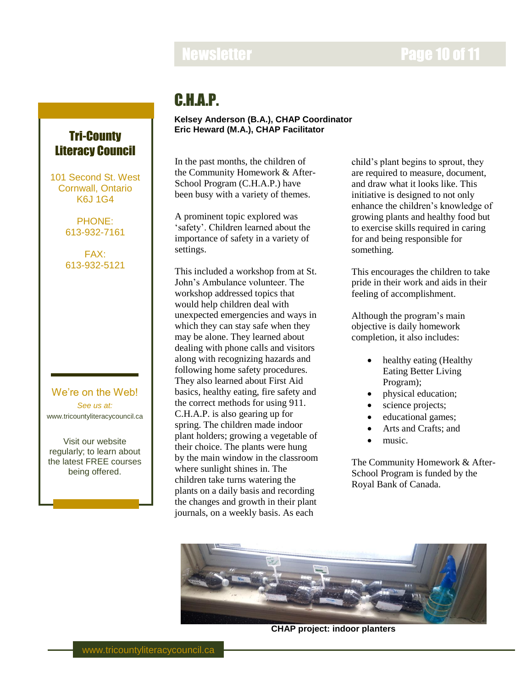# **Newsletter Page 10 of 11**

## C.H.A.P.

## **Kelsey Anderson (B.A.), CHAP Coordinator Eric Heward (M.A.), CHAP Facilitator**

In the past months, the children of the Community Homework & After-School Program (C.H.A.P.) have been busy with a variety of themes.

A prominent topic explored was 'safety'. Children learned about the importance of safety in a variety of settings.

This included a workshop from at St. John's Ambulance volunteer. The workshop addressed topics that would help children deal with unexpected emergencies and ways in which they can stay safe when they may be alone. They learned about dealing with phone calls and visitors along with recognizing hazards and following home safety procedures. They also learned about First Aid basics, healthy eating, fire safety and the correct methods for using 911. C.H.A.P. is also gearing up for spring. The children made indoor plant holders; growing a vegetable of their choice. The plants were hung by the main window in the classroom where sunlight shines in. The children take turns watering the plants on a daily basis and recording the changes and growth in their plant journals, on a weekly basis. As each

child's plant begins to sprout, they are required to measure, document, and draw what it looks like. This initiative is designed to not only enhance the children's knowledge of growing plants and healthy food but to exercise skills required in caring for and being responsible for something.

This encourages the children to take pride in their work and aids in their feeling of accomplishment.

Although the program's main objective is daily homework completion, it also includes:

- healthy eating (Healthy Eating Better Living Program);
- physical education;
- science projects;
- educational games;
- Arts and Crafts; and
- music.

The Community Homework & After-School Program is funded by the Royal Bank of Canada.



**CHAP project: indoor planters**

## Tri-County Literacy Council

101 Second St. West Cornwall, Ontario K6J 1G4

> PHONE: 613-932-7161

FAX: 613-932-5121

## We're on the Web! *See us at:* www.tricountyliteracycouncil.ca

Visit our website regularly; to learn about the latest FREE courses being offered.